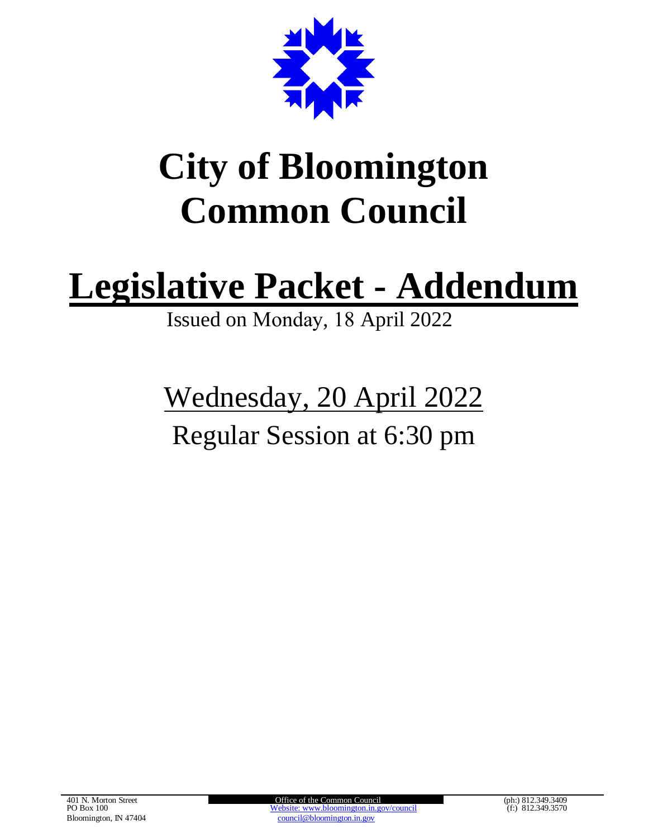

# **City of Bloomington Common Council**

# **Legislative Packet - Addendum**

Issued on Monday, 18 April 2022

# Wednesday, 20 April 2022 Regular Session at 6:30 pm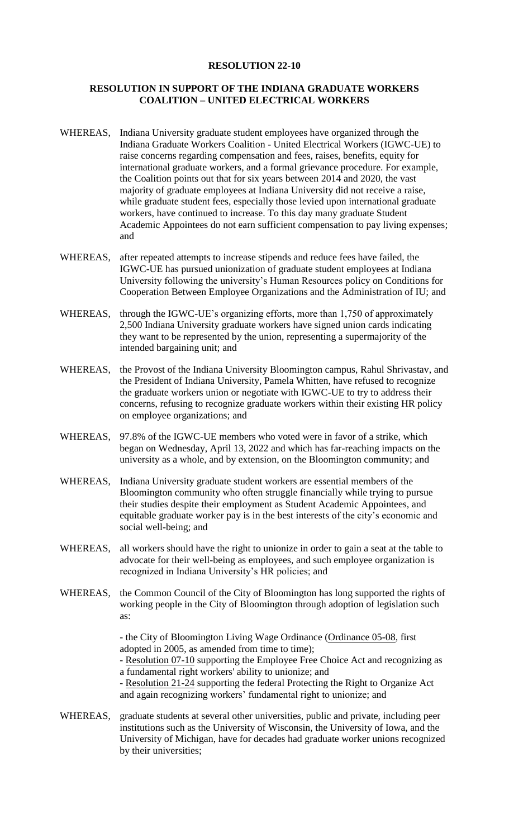#### **RESOLUTION 22-10**

#### **RESOLUTION IN SUPPORT OF THE INDIANA GRADUATE WORKERS COALITION – UNITED ELECTRICAL WORKERS**

- WHEREAS, Indiana University graduate student employees have organized through the Indiana Graduate Workers Coalition - United Electrical Workers (IGWC-UE) to raise concerns regarding compensation and fees, raises, benefits, equity for international graduate workers, and a formal grievance procedure. For example, the Coalition points out that for six years between 2014 and 2020, the vast majority of graduate employees at Indiana University did not receive a raise, while graduate student fees, especially those levied upon international graduate workers, have continued to increase. To this day many graduate Student Academic Appointees do not earn sufficient compensation to pay living expenses; and
- WHEREAS, after repeated attempts to increase stipends and reduce fees have failed, the IGWC-UE has pursued unionization of graduate student employees at Indiana University following the university's Human Resources policy on Conditions for Cooperation Between Employee Organizations and the Administration of IU; and
- WHEREAS, through the IGWC-UE's organizing efforts, more than 1,750 of approximately 2,500 Indiana University graduate workers have signed union cards indicating they want to be represented by the union, representing a supermajority of the intended bargaining unit; and
- WHEREAS, the Provost of the Indiana University Bloomington campus, Rahul Shrivastav, and the President of Indiana University, Pamela Whitten, have refused to recognize the graduate workers union or negotiate with IGWC-UE to try to address their concerns, refusing to recognize graduate workers within their existing HR policy on employee organizations; and
- WHEREAS, 97.8% of the IGWC-UE members who voted were in favor of a strike, which began on Wednesday, April 13, 2022 and which has far-reaching impacts on the university as a whole, and by extension, on the Bloomington community; and
- WHEREAS, Indiana University graduate student workers are essential members of the Bloomington community who often struggle financially while trying to pursue their studies despite their employment as Student Academic Appointees, and equitable graduate worker pay is in the best interests of the city's economic and social well-being; and
- WHEREAS, all workers should have the right to unionize in order to gain a seat at the table to advocate for their well-being as employees, and such employee organization is recognized in Indiana University's HR policies; and
- WHEREAS, the Common Council of the City of Bloomington has long supported the rights of working people in the City of Bloomington through adoption of legislation such as:

- the City of Bloomington Living Wage Ordinance (Ordinance 05-08, first adopted in 2005, as amended from time to time);

- Resolution 07-10 supporting the Employee Free Choice Act and recognizing as a fundamental right workers' ability to unionize; and

- Resolution 21-24 supporting the federal Protecting the Right to Organize Act and again recognizing workers' fundamental right to unionize; and

WHEREAS, graduate students at several other universities, public and private, including peer institutions such as the University of Wisconsin, the University of Iowa, and the University of Michigan, have for decades had graduate worker unions recognized by their universities;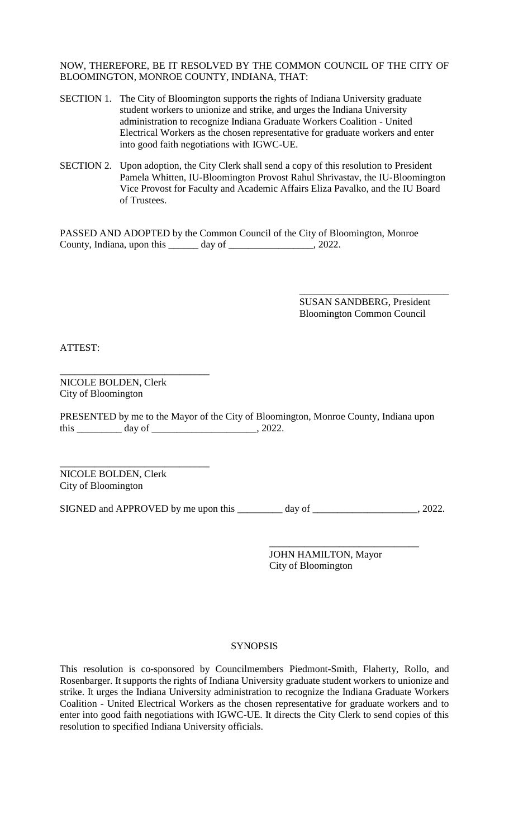NOW, THEREFORE, BE IT RESOLVED BY THE COMMON COUNCIL OF THE CITY OF BLOOMINGTON, MONROE COUNTY, INDIANA, THAT:

- SECTION 1. The City of Bloomington supports the rights of Indiana University graduate student workers to unionize and strike, and urges the Indiana University administration to recognize Indiana Graduate Workers Coalition - United Electrical Workers as the chosen representative for graduate workers and enter into good faith negotiations with IGWC-UE.
- SECTION 2. Upon adoption, the City Clerk shall send a copy of this resolution to President Pamela Whitten, IU-Bloomington Provost Rahul Shrivastav, the IU-Bloomington Vice Provost for Faculty and Academic Affairs Eliza Pavalko, and the IU Board of Trustees.

PASSED AND ADOPTED by the Common Council of the City of Bloomington, Monroe County, Indiana, upon this \_\_\_\_\_\_ day of \_\_\_\_\_\_\_\_\_\_\_\_\_\_\_\_\_, 2022.

> SUSAN SANDBERG, President Bloomington Common Council

\_\_\_\_\_\_\_\_\_\_\_\_\_\_\_\_\_\_\_\_\_\_\_\_\_\_\_\_\_\_

ATTEST:

\_\_\_\_\_\_\_\_\_\_\_\_\_\_\_\_\_\_\_\_\_\_\_\_\_\_\_\_\_\_ NICOLE BOLDEN, Clerk City of Bloomington

PRESENTED by me to the Mayor of the City of Bloomington, Monroe County, Indiana upon this \_\_\_\_\_\_\_\_\_\_\_ day of \_\_\_\_\_\_\_\_\_\_\_\_\_\_\_\_\_\_\_\_\_\_\_\_, 2022.

\_\_\_\_\_\_\_\_\_\_\_\_\_\_\_\_\_\_\_\_\_\_\_\_\_\_\_\_\_\_ NICOLE BOLDEN, Clerk City of Bloomington

SIGNED and APPROVED by me upon this \_\_\_\_\_\_\_\_ day of \_\_\_\_\_\_\_\_\_\_\_\_\_\_\_\_\_, 2022.

JOHN HAMILTON, Mayor City of Bloomington

\_\_\_\_\_\_\_\_\_\_\_\_\_\_\_\_\_\_\_\_\_\_\_\_\_\_\_\_\_\_

#### **SYNOPSIS**

This resolution is co-sponsored by Councilmembers Piedmont-Smith, Flaherty, Rollo, and Rosenbarger. It supports the rights of Indiana University graduate student workers to unionize and strike. It urges the Indiana University administration to recognize the Indiana Graduate Workers Coalition - United Electrical Workers as the chosen representative for graduate workers and to enter into good faith negotiations with IGWC-UE. It directs the City Clerk to send copies of this resolution to specified Indiana University officials.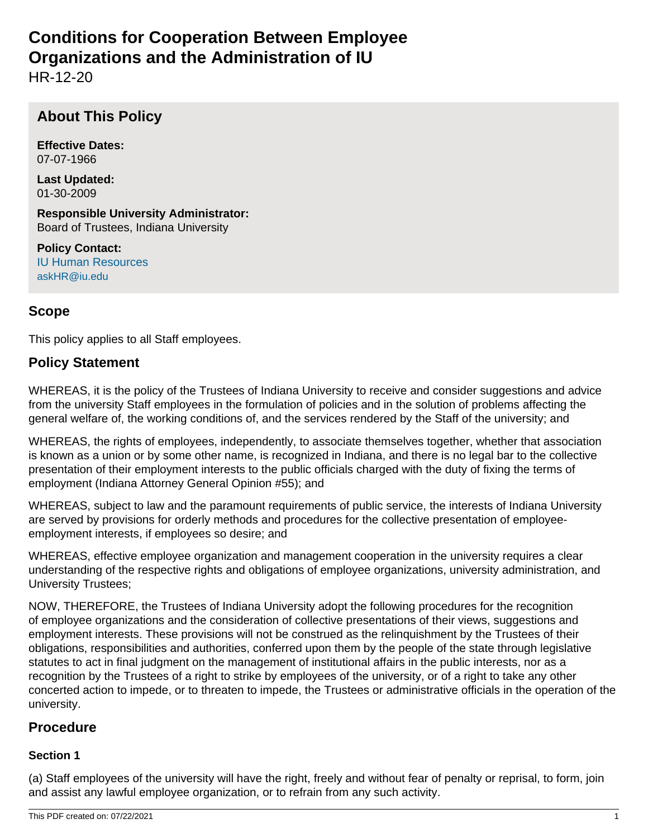# **Conditions for Cooperation Between Employee Organizations and the Administration of IU**

HR-12-20

# **About This Policy**

**Effective Dates:** 07-07-1966

**Last Updated:** 01-30-2009

**Responsible University Administrator:** Board of Trustees, Indiana University

**Policy Contact:** IU Human Resources askHR@iu.edu

# **Scope**

This policy applies to all Staff employees.

# **Policy Statement**

WHEREAS, it is the policy of the Trustees of Indiana University to receive and consider suggestions and advice from the university Staff employees in the formulation of policies and in the solution of problems affecting the general welfare of, the working conditions of, and the services rendered by the Staff of the university; and

WHEREAS, the rights of employees, independently, to associate themselves together, whether that association is known as a union or by some other name, is recognized in Indiana, and there is no legal bar to the collective presentation of their employment interests to the public officials charged with the duty of fixing the terms of employment (Indiana Attorney General Opinion #55); and

WHEREAS, subject to law and the paramount requirements of public service, the interests of Indiana University are served by provisions for orderly methods and procedures for the collective presentation of employeeemployment interests, if employees so desire; and

WHEREAS, effective employee organization and management cooperation in the university requires a clear understanding of the respective rights and obligations of employee organizations, university administration, and University Trustees;

NOW, THEREFORE, the Trustees of Indiana University adopt the following procedures for the recognition of employee organizations and the consideration of collective presentations of their views, suggestions and employment interests. These provisions will not be construed as the relinquishment by the Trustees of their obligations, responsibilities and authorities, conferred upon them by the people of the state through legislative statutes to act in final judgment on the management of institutional affairs in the public interests, nor as a recognition by the Trustees of a right to strike by employees of the university, or of a right to take any other concerted action to impede, or to threaten to impede, the Trustees or administrative officials in the operation of the university.

# **Procedure**

# **Section 1**

(a) Staff employees of the university will have the right, freely and without fear of penalty or reprisal, to form, join and assist any lawful employee organization, or to refrain from any such activity.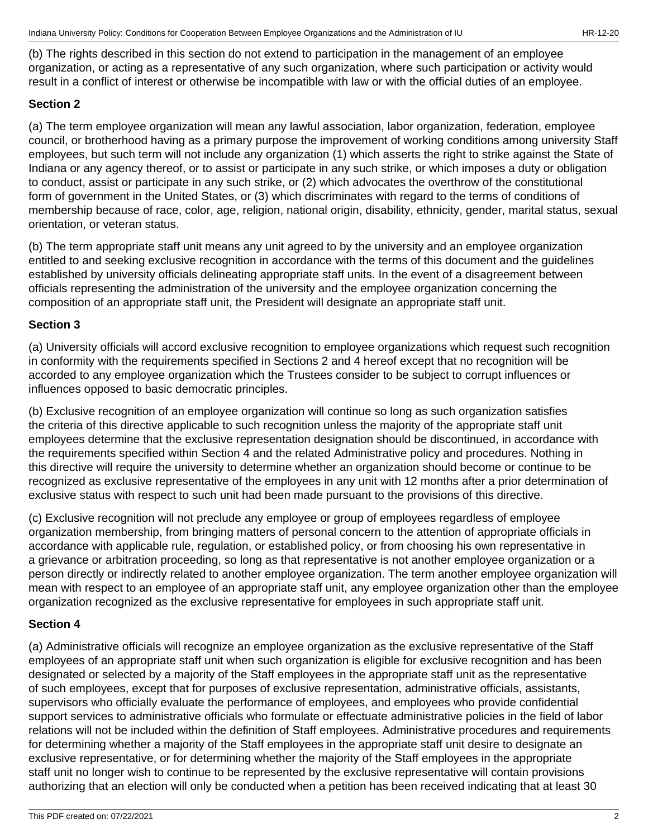(b) The rights described in this section do not extend to participation in the management of an employee organization, or acting as a representative of any such organization, where such participation or activity would result in a conflict of interest or otherwise be incompatible with law or with the official duties of an employee.

# **Section 2**

(a) The term employee organization will mean any lawful association, labor organization, federation, employee council, or brotherhood having as a primary purpose the improvement of working conditions among university Staff employees, but such term will not include any organization (1) which asserts the right to strike against the State of Indiana or any agency thereof, or to assist or participate in any such strike, or which imposes a duty or obligation to conduct, assist or participate in any such strike, or (2) which advocates the overthrow of the constitutional form of government in the United States, or (3) which discriminates with regard to the terms of conditions of membership because of race, color, age, religion, national origin, disability, ethnicity, gender, marital status, sexual orientation, or veteran status.

(b) The term appropriate staff unit means any unit agreed to by the university and an employee organization entitled to and seeking exclusive recognition in accordance with the terms of this document and the guidelines established by university officials delineating appropriate staff units. In the event of a disagreement between officials representing the administration of the university and the employee organization concerning the composition of an appropriate staff unit, the President will designate an appropriate staff unit.

# **Section 3**

(a) University officials will accord exclusive recognition to employee organizations which request such recognition in conformity with the requirements specified in Sections 2 and 4 hereof except that no recognition will be accorded to any employee organization which the Trustees consider to be subject to corrupt influences or influences opposed to basic democratic principles.

(b) Exclusive recognition of an employee organization will continue so long as such organization satisfies the criteria of this directive applicable to such recognition unless the majority of the appropriate staff unit employees determine that the exclusive representation designation should be discontinued, in accordance with the requirements specified within Section 4 and the related Administrative policy and procedures. Nothing in this directive will require the university to determine whether an organization should become or continue to be recognized as exclusive representative of the employees in any unit with 12 months after a prior determination of exclusive status with respect to such unit had been made pursuant to the provisions of this directive.

(c) Exclusive recognition will not preclude any employee or group of employees regardless of employee organization membership, from bringing matters of personal concern to the attention of appropriate officials in accordance with applicable rule, regulation, or established policy, or from choosing his own representative in a grievance or arbitration proceeding, so long as that representative is not another employee organization or a person directly or indirectly related to another employee organization. The term another employee organization will mean with respect to an employee of an appropriate staff unit, any employee organization other than the employee organization recognized as the exclusive representative for employees in such appropriate staff unit.

# **Section 4**

(a) Administrative officials will recognize an employee organization as the exclusive representative of the Staff employees of an appropriate staff unit when such organization is eligible for exclusive recognition and has been designated or selected by a majority of the Staff employees in the appropriate staff unit as the representative of such employees, except that for purposes of exclusive representation, administrative officials, assistants, supervisors who officially evaluate the performance of employees, and employees who provide confidential support services to administrative officials who formulate or effectuate administrative policies in the field of labor relations will not be included within the definition of Staff employees. Administrative procedures and requirements for determining whether a majority of the Staff employees in the appropriate staff unit desire to designate an exclusive representative, or for determining whether the majority of the Staff employees in the appropriate staff unit no longer wish to continue to be represented by the exclusive representative will contain provisions authorizing that an election will only be conducted when a petition has been received indicating that at least 30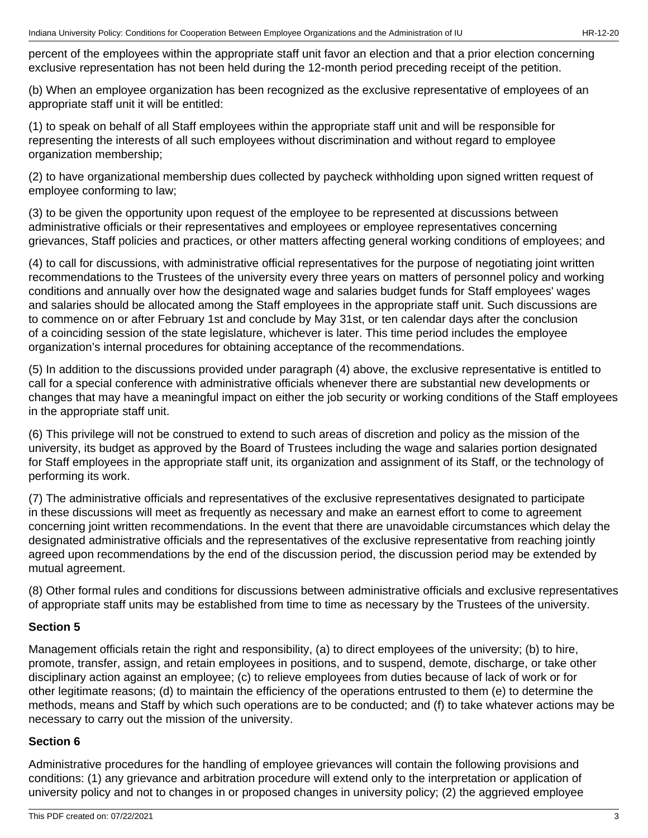percent of the employees within the appropriate staff unit favor an election and that a prior election concerning exclusive representation has not been held during the 12-month period preceding receipt of the petition.

(b) When an employee organization has been recognized as the exclusive representative of employees of an appropriate staff unit it will be entitled:

(1) to speak on behalf of all Staff employees within the appropriate staff unit and will be responsible for representing the interests of all such employees without discrimination and without regard to employee organization membership;

(2) to have organizational membership dues collected by paycheck withholding upon signed written request of employee conforming to law;

(3) to be given the opportunity upon request of the employee to be represented at discussions between administrative officials or their representatives and employees or employee representatives concerning grievances, Staff policies and practices, or other matters affecting general working conditions of employees; and

(4) to call for discussions, with administrative official representatives for the purpose of negotiating joint written recommendations to the Trustees of the university every three years on matters of personnel policy and working conditions and annually over how the designated wage and salaries budget funds for Staff employees' wages and salaries should be allocated among the Staff employees in the appropriate staff unit. Such discussions are to commence on or after February 1st and conclude by May 31st, or ten calendar days after the conclusion of a coinciding session of the state legislature, whichever is later. This time period includes the employee organization's internal procedures for obtaining acceptance of the recommendations.

(5) In addition to the discussions provided under paragraph (4) above, the exclusive representative is entitled to call for a special conference with administrative officials whenever there are substantial new developments or changes that may have a meaningful impact on either the job security or working conditions of the Staff employees in the appropriate staff unit.

(6) This privilege will not be construed to extend to such areas of discretion and policy as the mission of the university, its budget as approved by the Board of Trustees including the wage and salaries portion designated for Staff employees in the appropriate staff unit, its organization and assignment of its Staff, or the technology of performing its work.

(7) The administrative officials and representatives of the exclusive representatives designated to participate in these discussions will meet as frequently as necessary and make an earnest effort to come to agreement concerning joint written recommendations. In the event that there are unavoidable circumstances which delay the designated administrative officials and the representatives of the exclusive representative from reaching jointly agreed upon recommendations by the end of the discussion period, the discussion period may be extended by mutual agreement.

(8) Other formal rules and conditions for discussions between administrative officials and exclusive representatives of appropriate staff units may be established from time to time as necessary by the Trustees of the university.

# **Section 5**

Management officials retain the right and responsibility, (a) to direct employees of the university; (b) to hire, promote, transfer, assign, and retain employees in positions, and to suspend, demote, discharge, or take other disciplinary action against an employee; (c) to relieve employees from duties because of lack of work or for other legitimate reasons; (d) to maintain the efficiency of the operations entrusted to them (e) to determine the methods, means and Staff by which such operations are to be conducted; and (f) to take whatever actions may be necessary to carry out the mission of the university.

# **Section 6**

Administrative procedures for the handling of employee grievances will contain the following provisions and conditions: (1) any grievance and arbitration procedure will extend only to the interpretation or application of university policy and not to changes in or proposed changes in university policy; (2) the aggrieved employee